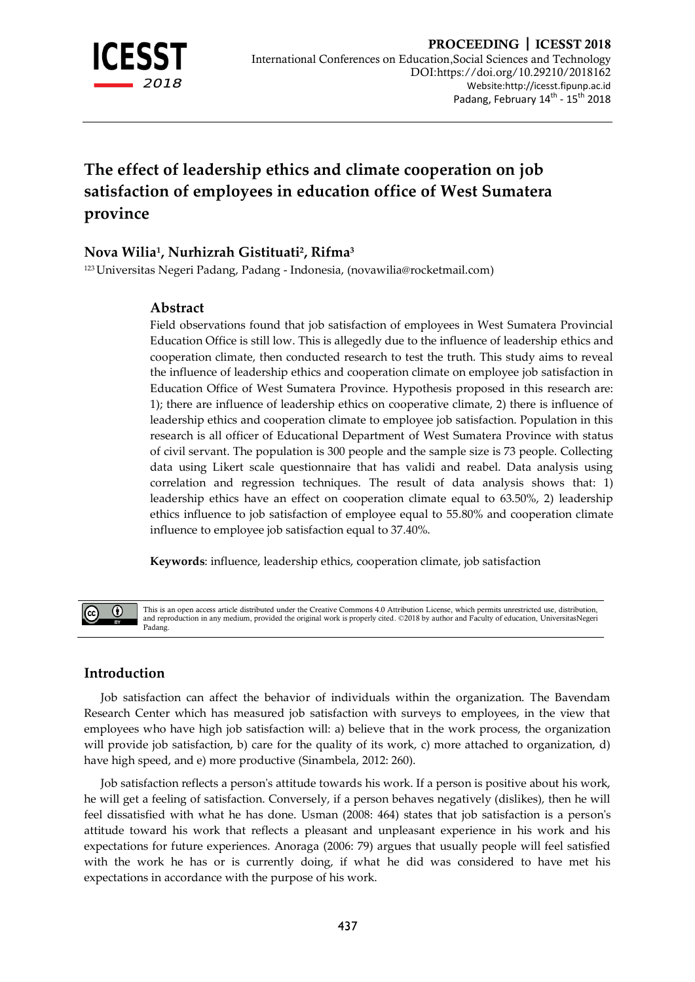

# **The effect of leadership ethics and climate cooperation on job satisfaction of employees in education office of West Sumatera province**

# **Nova Wilia<sup>1</sup> , Nurhizrah Gistituati<sup>2</sup> , Rifma<sup>3</sup>**

<sup>123</sup> Universitas Negeri Padang, Padang - Indonesia, (novawilia@rocketmail.com)

# **Abstract**

Field observations found that job satisfaction of employees in West Sumatera Provincial Education Office is still low. This is allegedly due to the influence of leadership ethics and cooperation climate, then conducted research to test the truth. This study aims to reveal the influence of leadership ethics and cooperation climate on employee job satisfaction in Education Office of West Sumatera Province. Hypothesis proposed in this research are: 1); there are influence of leadership ethics on cooperative climate, 2) there is influence of leadership ethics and cooperation climate to employee job satisfaction. Population in this research is all officer of Educational Department of West Sumatera Province with status of civil servant. The population is 300 people and the sample size is 73 people. Collecting data using Likert scale questionnaire that has validi and reabel. Data analysis using correlation and regression techniques. The result of data analysis shows that: 1) leadership ethics have an effect on cooperation climate equal to 63.50%, 2) leadership ethics influence to job satisfaction of employee equal to 55.80% and cooperation climate influence to employee job satisfaction equal to 37.40%.

**Keywords**: influence, leadership ethics, cooperation climate, job satisfaction



This is an open access article distributed under the Creative Commons 4.0 Attribution License, which permits unrestricted use, distribution, and reproduction in any medium, provided the original work is properly cited. ©2018 by author and Faculty of education, UniversitasNegerial control and Faculty of education, UniversitasNegerial Padang.

# **Introduction**

Job satisfaction can affect the behavior of individuals within the organization. The Bavendam Research Center which has measured job satisfaction with surveys to employees, in the view that employees who have high job satisfaction will: a) believe that in the work process, the organization will provide job satisfaction, b) care for the quality of its work, c) more attached to organization, d) have high speed, and e) more productive (Sinambela, 2012: 260).

Job satisfaction reflects a person's attitude towards his work. If a person is positive about his work, he will get a feeling of satisfaction. Conversely, if a person behaves negatively (dislikes), then he will feel dissatisfied with what he has done. Usman (2008: 464) states that job satisfaction is a person's attitude toward his work that reflects a pleasant and unpleasant experience in his work and his expectations for future experiences. Anoraga (2006: 79) argues that usually people will feel satisfied with the work he has or is currently doing, if what he did was considered to have met his expectations in accordance with the purpose of his work.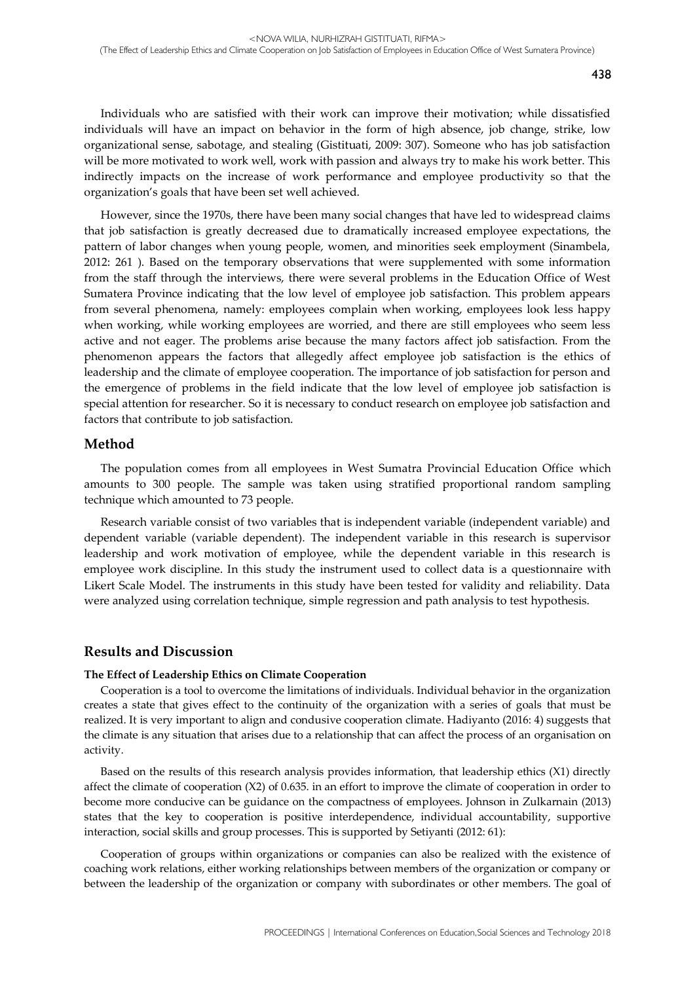Individuals who are satisfied with their work can improve their motivation; while dissatisfied individuals will have an impact on behavior in the form of high absence, job change, strike, low organizational sense, sabotage, and stealing (Gistituati, 2009: 307). Someone who has job satisfaction will be more motivated to work well, work with passion and always try to make his work better. This indirectly impacts on the increase of work performance and employee productivity so that the organization's goals that have been set well achieved.

However, since the 1970s, there have been many social changes that have led to widespread claims that job satisfaction is greatly decreased due to dramatically increased employee expectations, the pattern of labor changes when young people, women, and minorities seek employment (Sinambela, 2012: 261 ). Based on the temporary observations that were supplemented with some information from the staff through the interviews, there were several problems in the Education Office of West Sumatera Province indicating that the low level of employee job satisfaction. This problem appears from several phenomena, namely: employees complain when working, employees look less happy when working, while working employees are worried, and there are still employees who seem less active and not eager. The problems arise because the many factors affect job satisfaction. From the phenomenon appears the factors that allegedly affect employee job satisfaction is the ethics of leadership and the climate of employee cooperation. The importance of job satisfaction for person and the emergence of problems in the field indicate that the low level of employee job satisfaction is special attention for researcher. So it is necessary to conduct research on employee job satisfaction and factors that contribute to job satisfaction.

#### **Method**

The population comes from all employees in West Sumatra Provincial Education Office which amounts to 300 people. The sample was taken using stratified proportional random sampling technique which amounted to 73 people.

Research variable consist of two variables that is independent variable (independent variable) and dependent variable (variable dependent). The independent variable in this research is supervisor leadership and work motivation of employee, while the dependent variable in this research is employee work discipline. In this study the instrument used to collect data is a questionnaire with Likert Scale Model. The instruments in this study have been tested for validity and reliability. Data were analyzed using correlation technique, simple regression and path analysis to test hypothesis.

#### **Results and Discussion**

#### **The Effect of Leadership Ethics on Climate Cooperation**

Cooperation is a tool to overcome the limitations of individuals. Individual behavior in the organization creates a state that gives effect to the continuity of the organization with a series of goals that must be realized. It is very important to align and condusive cooperation climate. Hadiyanto (2016: 4) suggests that the climate is any situation that arises due to a relationship that can affect the process of an organisation on activity.

Based on the results of this research analysis provides information, that leadership ethics (X1) directly affect the climate of cooperation (X2) of 0.635. in an effort to improve the climate of cooperation in order to become more conducive can be guidance on the compactness of employees. Johnson in Zulkarnain (2013) states that the key to cooperation is positive interdependence, individual accountability, supportive interaction, social skills and group processes. This is supported by Setiyanti (2012: 61):

Cooperation of groups within organizations or companies can also be realized with the existence of coaching work relations, either working relationships between members of the organization or company or between the leadership of the organization or company with subordinates or other members. The goal of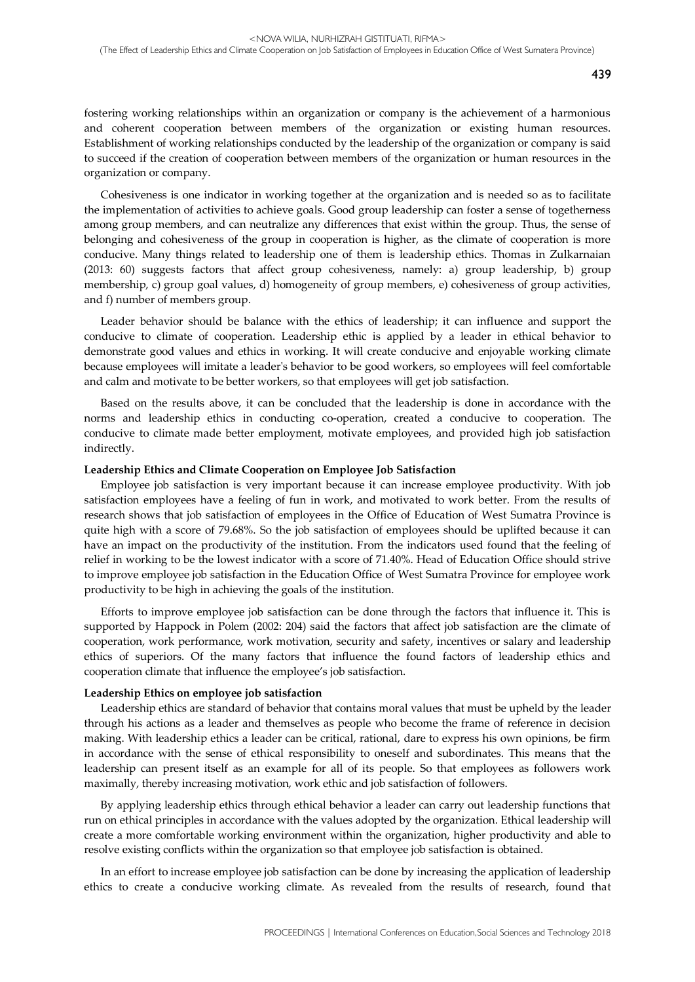fostering working relationships within an organization or company is the achievement of a harmonious and coherent cooperation between members of the organization or existing human resources. Establishment of working relationships conducted by the leadership of the organization or company is said to succeed if the creation of cooperation between members of the organization or human resources in the organization or company.

Cohesiveness is one indicator in working together at the organization and is needed so as to facilitate the implementation of activities to achieve goals. Good group leadership can foster a sense of togetherness among group members, and can neutralize any differences that exist within the group. Thus, the sense of belonging and cohesiveness of the group in cooperation is higher, as the climate of cooperation is more conducive. Many things related to leadership one of them is leadership ethics. Thomas in Zulkarnaian (2013: 60) suggests factors that affect group cohesiveness, namely: a) group leadership, b) group membership, c) group goal values, d) homogeneity of group members, e) cohesiveness of group activities, and f) number of members group.

Leader behavior should be balance with the ethics of leadership; it can influence and support the conducive to climate of cooperation. Leadership ethic is applied by a leader in ethical behavior to demonstrate good values and ethics in working. It will create conducive and enjoyable working climate because employees will imitate a leader's behavior to be good workers, so employees will feel comfortable and calm and motivate to be better workers, so that employees will get job satisfaction.

Based on the results above, it can be concluded that the leadership is done in accordance with the norms and leadership ethics in conducting co-operation, created a conducive to cooperation. The conducive to climate made better employment, motivate employees, and provided high job satisfaction indirectly.

#### **Leadership Ethics and Climate Cooperation on Employee Job Satisfaction**

Employee job satisfaction is very important because it can increase employee productivity. With job satisfaction employees have a feeling of fun in work, and motivated to work better. From the results of research shows that job satisfaction of employees in the Office of Education of West Sumatra Province is quite high with a score of 79.68%. So the job satisfaction of employees should be uplifted because it can have an impact on the productivity of the institution. From the indicators used found that the feeling of relief in working to be the lowest indicator with a score of 71.40%. Head of Education Office should strive to improve employee job satisfaction in the Education Office of West Sumatra Province for employee work productivity to be high in achieving the goals of the institution.

Efforts to improve employee job satisfaction can be done through the factors that influence it. This is supported by Happock in Polem (2002: 204) said the factors that affect job satisfaction are the climate of cooperation, work performance, work motivation, security and safety, incentives or salary and leadership ethics of superiors. Of the many factors that influence the found factors of leadership ethics and cooperation climate that influence the employee's job satisfaction.

#### **Leadership Ethics on employee job satisfaction**

Leadership ethics are standard of behavior that contains moral values that must be upheld by the leader through his actions as a leader and themselves as people who become the frame of reference in decision making. With leadership ethics a leader can be critical, rational, dare to express his own opinions, be firm in accordance with the sense of ethical responsibility to oneself and subordinates. This means that the leadership can present itself as an example for all of its people. So that employees as followers work maximally, thereby increasing motivation, work ethic and job satisfaction of followers.

By applying leadership ethics through ethical behavior a leader can carry out leadership functions that run on ethical principles in accordance with the values adopted by the organization. Ethical leadership will create a more comfortable working environment within the organization, higher productivity and able to resolve existing conflicts within the organization so that employee job satisfaction is obtained.

In an effort to increase employee job satisfaction can be done by increasing the application of leadership ethics to create a conducive working climate. As revealed from the results of research, found that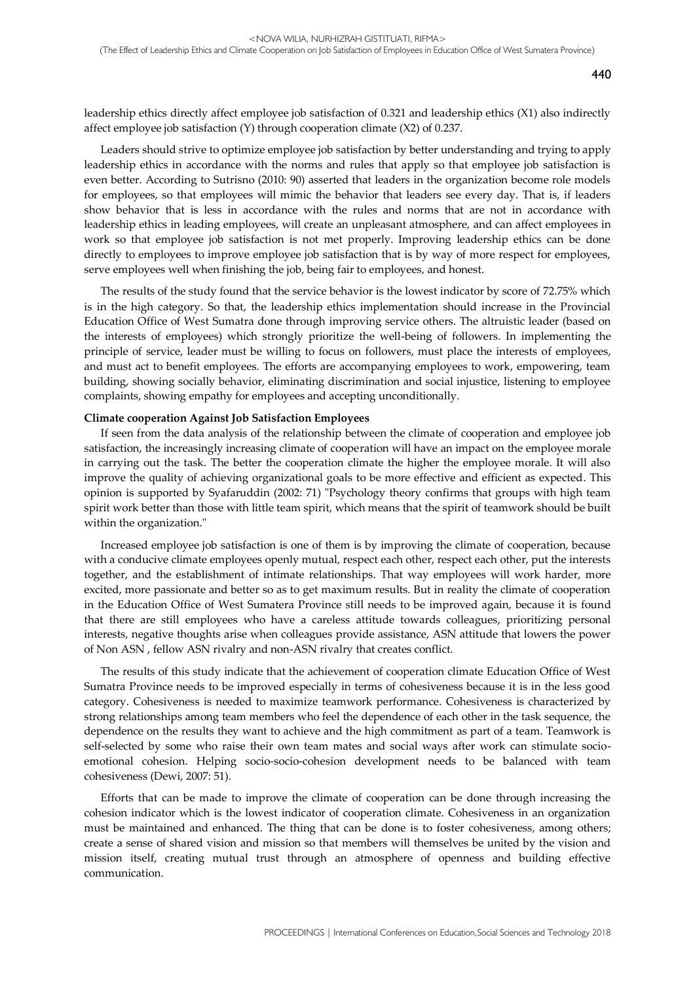leadership ethics directly affect employee job satisfaction of 0.321 and leadership ethics (X1) also indirectly affect employee job satisfaction (Y) through cooperation climate (X2) of 0.237.

Leaders should strive to optimize employee job satisfaction by better understanding and trying to apply leadership ethics in accordance with the norms and rules that apply so that employee job satisfaction is even better. According to Sutrisno (2010: 90) asserted that leaders in the organization become role models for employees, so that employees will mimic the behavior that leaders see every day. That is, if leaders show behavior that is less in accordance with the rules and norms that are not in accordance with leadership ethics in leading employees, will create an unpleasant atmosphere, and can affect employees in work so that employee job satisfaction is not met properly. Improving leadership ethics can be done directly to employees to improve employee job satisfaction that is by way of more respect for employees, serve employees well when finishing the job, being fair to employees, and honest.

The results of the study found that the service behavior is the lowest indicator by score of 72.75% which is in the high category. So that, the leadership ethics implementation should increase in the Provincial Education Office of West Sumatra done through improving service others. The altruistic leader (based on the interests of employees) which strongly prioritize the well-being of followers. In implementing the principle of service, leader must be willing to focus on followers, must place the interests of employees, and must act to benefit employees. The efforts are accompanying employees to work, empowering, team building, showing socially behavior, eliminating discrimination and social injustice, listening to employee complaints, showing empathy for employees and accepting unconditionally.

#### **Climate cooperation Against Job Satisfaction Employees**

If seen from the data analysis of the relationship between the climate of cooperation and employee job satisfaction, the increasingly increasing climate of cooperation will have an impact on the employee morale in carrying out the task. The better the cooperation climate the higher the employee morale. It will also improve the quality of achieving organizational goals to be more effective and efficient as expected. This opinion is supported by Syafaruddin (2002: 71) "Psychology theory confirms that groups with high team spirit work better than those with little team spirit, which means that the spirit of teamwork should be built within the organization."

Increased employee job satisfaction is one of them is by improving the climate of cooperation, because with a conducive climate employees openly mutual, respect each other, respect each other, put the interests together, and the establishment of intimate relationships. That way employees will work harder, more excited, more passionate and better so as to get maximum results. But in reality the climate of cooperation in the Education Office of West Sumatera Province still needs to be improved again, because it is found that there are still employees who have a careless attitude towards colleagues, prioritizing personal interests, negative thoughts arise when colleagues provide assistance, ASN attitude that lowers the power of Non ASN , fellow ASN rivalry and non-ASN rivalry that creates conflict.

The results of this study indicate that the achievement of cooperation climate Education Office of West Sumatra Province needs to be improved especially in terms of cohesiveness because it is in the less good category. Cohesiveness is needed to maximize teamwork performance. Cohesiveness is characterized by strong relationships among team members who feel the dependence of each other in the task sequence, the dependence on the results they want to achieve and the high commitment as part of a team. Teamwork is self-selected by some who raise their own team mates and social ways after work can stimulate socioemotional cohesion. Helping socio-socio-cohesion development needs to be balanced with team cohesiveness (Dewi, 2007: 51).

Efforts that can be made to improve the climate of cooperation can be done through increasing the cohesion indicator which is the lowest indicator of cooperation climate. Cohesiveness in an organization must be maintained and enhanced. The thing that can be done is to foster cohesiveness, among others; create a sense of shared vision and mission so that members will themselves be united by the vision and mission itself, creating mutual trust through an atmosphere of openness and building effective communication.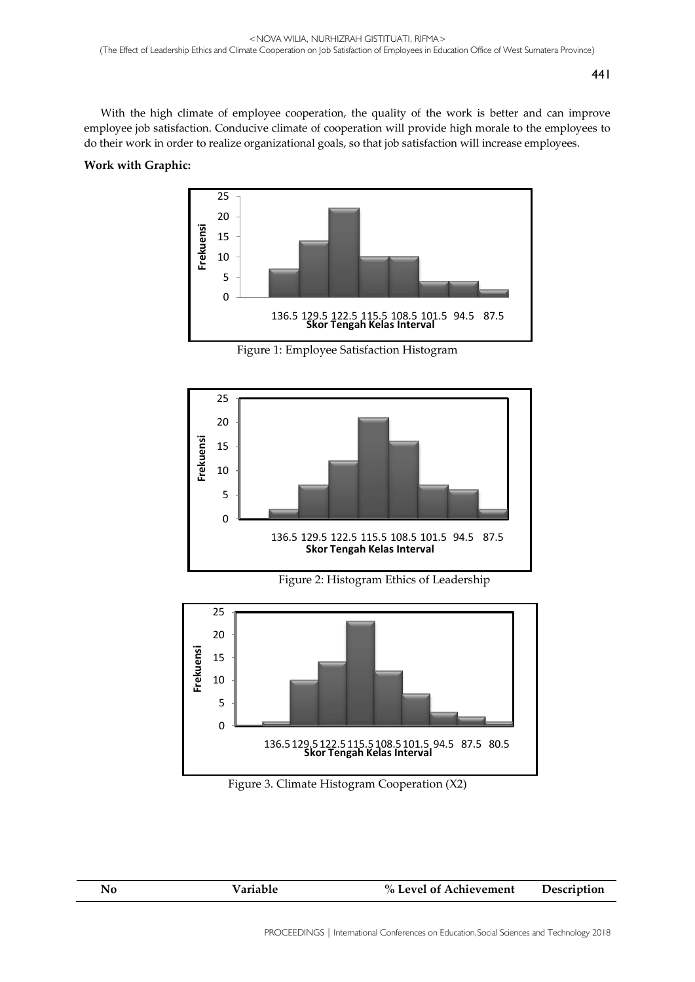With the high climate of employee cooperation, the quality of the work is better and can improve employee job satisfaction. Conducive climate of cooperation will provide high morale to the employees to do their work in order to realize organizational goals, so that job satisfaction will increase employees.

# **Work with Graphic:**



Figure 1: Employee Satisfaction Histogram





136.5129.5122.5115.5108.5101.5 94.5 87.5 80.5 **Skor Tengah Kelas Interval**

| Variable<br>% Level of Achievement<br>Description<br>Nο |
|---------------------------------------------------------|
|---------------------------------------------------------|